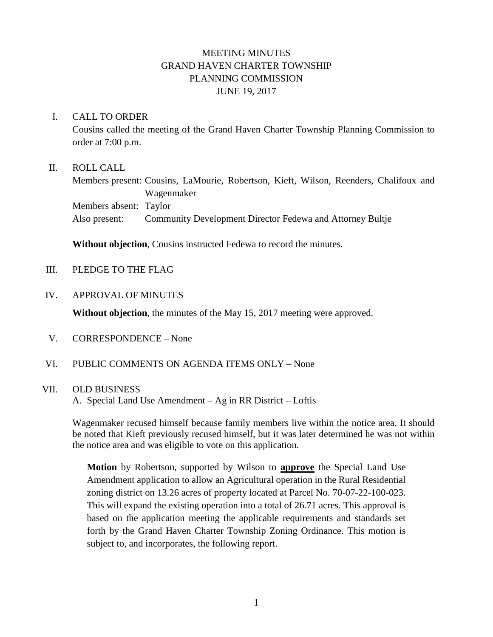# MEETING MINUTES GRAND HAVEN CHARTER TOWNSHIP PLANNING COMMISSION JUNE 19, 2017

### I. CALL TO ORDER

Cousins called the meeting of the Grand Haven Charter Township Planning Commission to order at 7:00 p.m.

### II. ROLL CALL

Members present: Cousins, LaMourie, Robertson, Kieft, Wilson, Reenders, Chalifoux and Wagenmaker Members absent: Taylor Also present: Community Development Director Fedewa and Attorney Bultje

**Without objection**, Cousins instructed Fedewa to record the minutes.

- III. PLEDGE TO THE FLAG
- IV. APPROVAL OF MINUTES

**Without objection**, the minutes of the May 15, 2017 meeting were approved.

- V. CORRESPONDENCE None
- VI. PUBLIC COMMENTS ON AGENDA ITEMS ONLY None

## VII. OLD BUSINESS

A. Special Land Use Amendment – Ag in RR District – Loftis

Wagenmaker recused himself because family members live within the notice area. It should be noted that Kieft previously recused himself, but it was later determined he was not within the notice area and was eligible to vote on this application.

**Motion** by Robertson, supported by Wilson to **approve** the Special Land Use Amendment application to allow an Agricultural operation in the Rural Residential zoning district on 13.26 acres of property located at Parcel No. 70-07-22-100-023. This will expand the existing operation into a total of 26.71 acres. This approval is based on the application meeting the applicable requirements and standards set forth by the Grand Haven Charter Township Zoning Ordinance. This motion is subject to, and incorporates, the following report.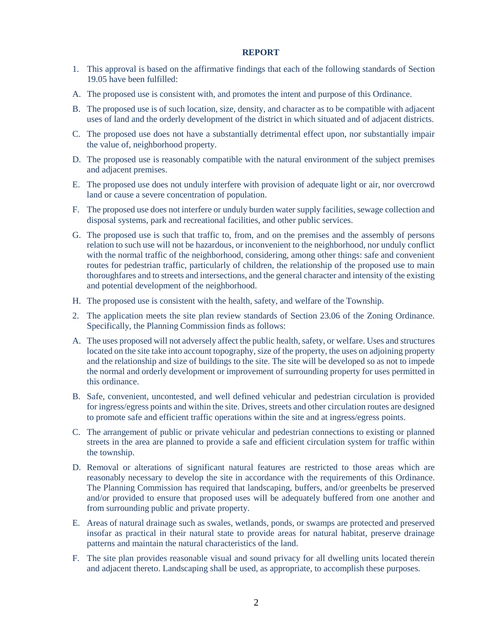#### **REPORT**

- 1. This approval is based on the affirmative findings that each of the following standards of Section 19.05 have been fulfilled:
- A. The proposed use is consistent with, and promotes the intent and purpose of this Ordinance.
- B. The proposed use is of such location, size, density, and character as to be compatible with adjacent uses of land and the orderly development of the district in which situated and of adjacent districts.
- C. The proposed use does not have a substantially detrimental effect upon, nor substantially impair the value of, neighborhood property.
- D. The proposed use is reasonably compatible with the natural environment of the subject premises and adjacent premises.
- E. The proposed use does not unduly interfere with provision of adequate light or air, nor overcrowd land or cause a severe concentration of population.
- F. The proposed use does not interfere or unduly burden water supply facilities, sewage collection and disposal systems, park and recreational facilities, and other public services.
- G. The proposed use is such that traffic to, from, and on the premises and the assembly of persons relation to such use will not be hazardous, or inconvenient to the neighborhood, nor unduly conflict with the normal traffic of the neighborhood, considering, among other things: safe and convenient routes for pedestrian traffic, particularly of children, the relationship of the proposed use to main thoroughfares and to streets and intersections, and the general character and intensity of the existing and potential development of the neighborhood.
- H. The proposed use is consistent with the health, safety, and welfare of the Township.
- 2. The application meets the site plan review standards of Section 23.06 of the Zoning Ordinance. Specifically, the Planning Commission finds as follows:
- A. The uses proposed will not adversely affect the public health, safety, or welfare. Uses and structures located on the site take into account topography, size of the property, the uses on adjoining property and the relationship and size of buildings to the site. The site will be developed so as not to impede the normal and orderly development or improvement of surrounding property for uses permitted in this ordinance.
- B. Safe, convenient, uncontested, and well defined vehicular and pedestrian circulation is provided for ingress/egress points and within the site. Drives, streets and other circulation routes are designed to promote safe and efficient traffic operations within the site and at ingress/egress points.
- C. The arrangement of public or private vehicular and pedestrian connections to existing or planned streets in the area are planned to provide a safe and efficient circulation system for traffic within the township.
- D. Removal or alterations of significant natural features are restricted to those areas which are reasonably necessary to develop the site in accordance with the requirements of this Ordinance. The Planning Commission has required that landscaping, buffers, and/or greenbelts be preserved and/or provided to ensure that proposed uses will be adequately buffered from one another and from surrounding public and private property.
- E. Areas of natural drainage such as swales, wetlands, ponds, or swamps are protected and preserved insofar as practical in their natural state to provide areas for natural habitat, preserve drainage patterns and maintain the natural characteristics of the land.
- F. The site plan provides reasonable visual and sound privacy for all dwelling units located therein and adjacent thereto. Landscaping shall be used, as appropriate, to accomplish these purposes.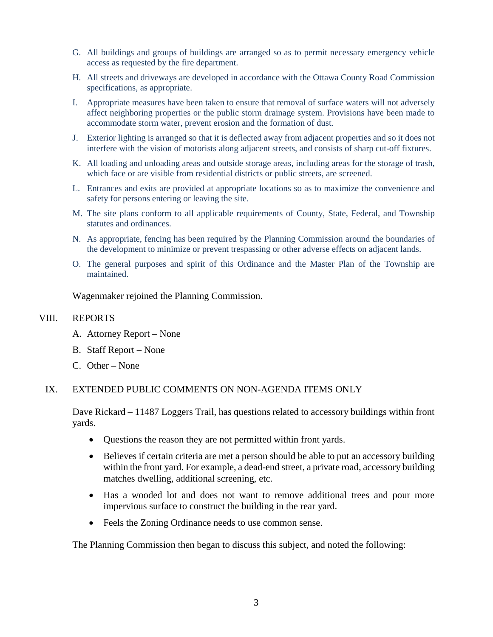- G. All buildings and groups of buildings are arranged so as to permit necessary emergency vehicle access as requested by the fire department.
- H. All streets and driveways are developed in accordance with the Ottawa County Road Commission specifications, as appropriate.
- I. Appropriate measures have been taken to ensure that removal of surface waters will not adversely affect neighboring properties or the public storm drainage system. Provisions have been made to accommodate storm water, prevent erosion and the formation of dust.
- J. Exterior lighting is arranged so that it is deflected away from adjacent properties and so it does not interfere with the vision of motorists along adjacent streets, and consists of sharp cut-off fixtures.
- K. All loading and unloading areas and outside storage areas, including areas for the storage of trash, which face or are visible from residential districts or public streets, are screened.
- L. Entrances and exits are provided at appropriate locations so as to maximize the convenience and safety for persons entering or leaving the site.
- M. The site plans conform to all applicable requirements of County, State, Federal, and Township statutes and ordinances.
- N. As appropriate, fencing has been required by the Planning Commission around the boundaries of the development to minimize or prevent trespassing or other adverse effects on adjacent lands.
- O. The general purposes and spirit of this Ordinance and the Master Plan of the Township are maintained.

Wagenmaker rejoined the Planning Commission.

#### VIII. REPORTS

- A. Attorney Report None
- B. Staff Report None
- C. Other None

### IX. EXTENDED PUBLIC COMMENTS ON NON-AGENDA ITEMS ONLY

Dave Rickard – 11487 Loggers Trail, has questions related to accessory buildings within front yards.

- Questions the reason they are not permitted within front yards.
- Believes if certain criteria are met a person should be able to put an accessory building within the front yard. For example, a dead-end street, a private road, accessory building matches dwelling, additional screening, etc.
- Has a wooded lot and does not want to remove additional trees and pour more impervious surface to construct the building in the rear yard.
- Feels the Zoning Ordinance needs to use common sense.

The Planning Commission then began to discuss this subject, and noted the following: